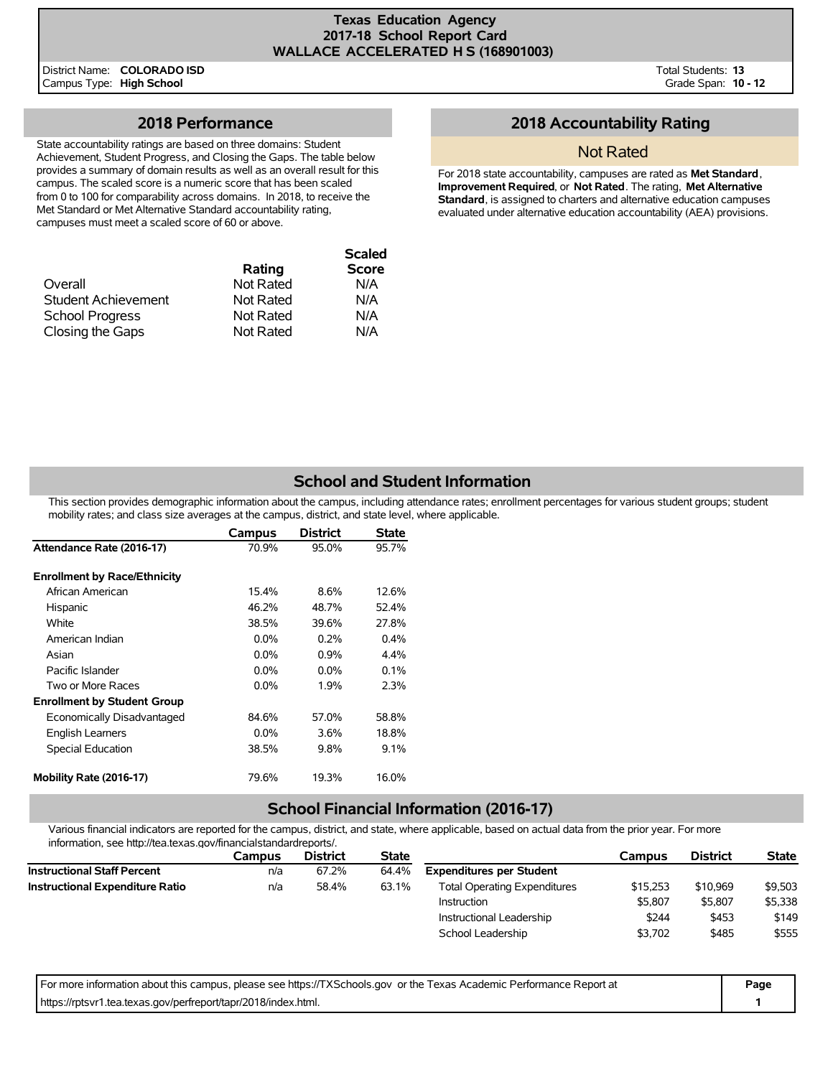### **Texas Education Agency 2017-18 School Report Card WALLACE ACCELERATED H S (168901003)**

District Name: **COLORADO ISD** Campus Type: **High School**

Total Students: **13** Grade Span: **10 - 12**

# **2018 Performance**

State accountability ratings are based on three domains: Student Achievement, Student Progress, and Closing the Gaps. The table below provides a summary of domain results as well as an overall result for this campus. The scaled score is a numeric score that has been scaled from 0 to 100 for comparability across domains. In 2018, to receive the Met Standard or Met Alternative Standard accountability rating, campuses must meet a scaled score of 60 or above.

|                        |           | <b>Scaled</b> |
|------------------------|-----------|---------------|
|                        | Rating    | <b>Score</b>  |
| Overall                | Not Rated | N/A           |
| Student Achievement    | Not Rated | N/A           |
| <b>School Progress</b> | Not Rated | N/A           |
| Closing the Gaps       | Not Rated | N/A           |

## **2018 Accountability Rating**

## Not Rated

For 2018 state accountability, campuses are rated as **Met Standard**, **Improvement Required**, or **Not Rated**. The rating, **Met Alternative Standard**, is assigned to charters and alternative education campuses evaluated under alternative education accountability (AEA) provisions.

# **School and Student Information**

This section provides demographic information about the campus, including attendance rates; enrollment percentages for various student groups; student mobility rates; and class size averages at the campus, district, and state level, where applicable.

|                                     | Campus  | <b>District</b> | State   |
|-------------------------------------|---------|-----------------|---------|
| Attendance Rate (2016-17)           | 70.9%   | 95.0%           | 95.7%   |
| <b>Enrollment by Race/Ethnicity</b> |         |                 |         |
| African American                    | 15.4%   | 8.6%            | 12.6%   |
| Hispanic                            | 46.2%   | 48.7%           | 52.4%   |
| White                               | 38.5%   | 39.6%           | 27.8%   |
| American Indian                     | $0.0\%$ | 0.2%            | $0.4\%$ |
| Asian                               | $0.0\%$ | 0.9%            | 4.4%    |
| Pacific Islander                    | $0.0\%$ | $0.0\%$         | 0.1%    |
| Two or More Races                   | 0.0%    | 1.9%            | 2.3%    |
| <b>Enrollment by Student Group</b>  |         |                 |         |
| Economically Disadvantaged          | 84.6%   | 57.0%           | 58.8%   |
| <b>English Learners</b>             | $0.0\%$ | 3.6%            | 18.8%   |
| Special Education                   | 38.5%   | $9.8\%$         | $9.1\%$ |
| Mobility Rate (2016-17)             | 79.6%   | 19.3%           | 16.0%   |

## **School Financial Information (2016-17)**

Various financial indicators are reported for the campus, district, and state, where applicable, based on actual data from the prior year. For more information, see http://tea.texas.gov/financialstandardreports/.

| Campus | <b>District</b> | <b>State</b> |                                     | Campus   | <b>District</b> | <b>State</b> |
|--------|-----------------|--------------|-------------------------------------|----------|-----------------|--------------|
| n/a    | 67.2%           | 64.4%        | <b>Expenditures per Student</b>     |          |                 |              |
| n/a    | 58.4%           | 63.1%        | <b>Total Operating Expenditures</b> | \$15,253 | \$10.969        | \$9,503      |
|        |                 |              | Instruction                         | \$5.807  | \$5,807         | \$5,338      |
|        |                 |              | Instructional Leadership            | \$244    | \$453           | \$149        |
|        |                 |              | School Leadership                   | \$3,702  | \$485           | \$555        |
|        |                 |              |                                     |          |                 |              |

| For more information about this campus, please see https://TXSchools.gov or the Texas Academic Performance Report at | Page |
|----------------------------------------------------------------------------------------------------------------------|------|
| https://rptsvr1.tea.texas.gov/perfreport/tapr/2018/index.html.                                                       |      |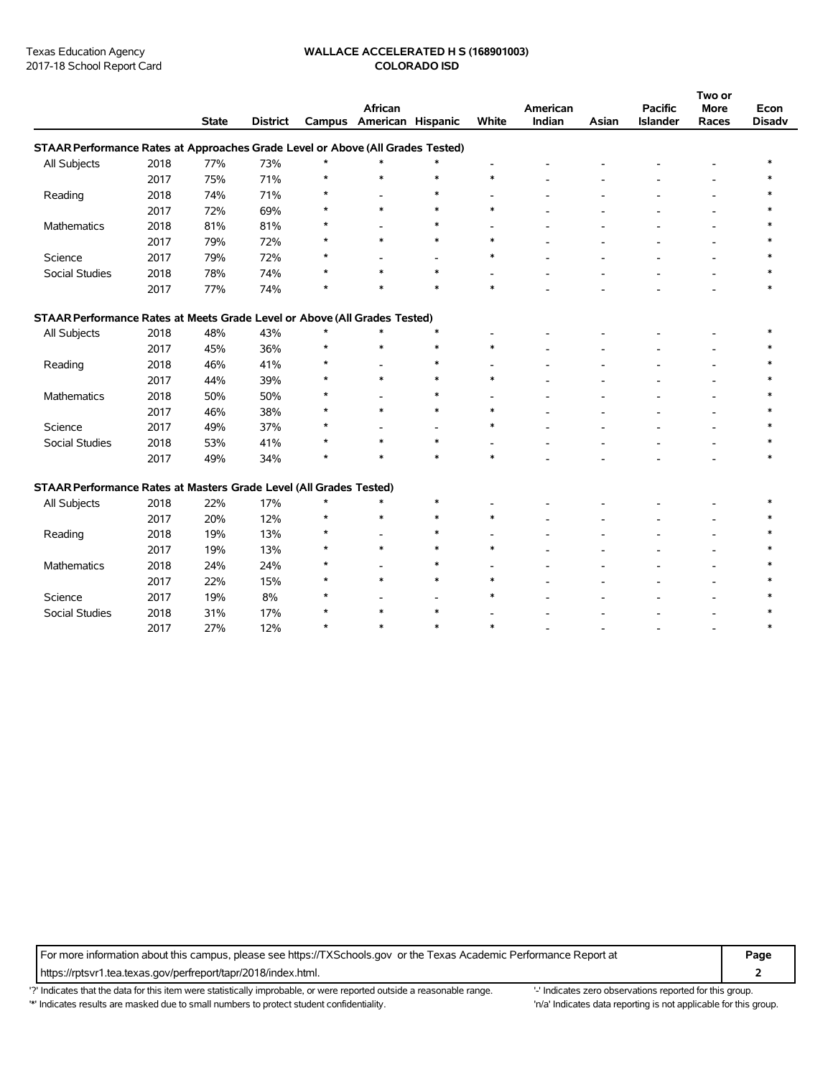#### Texas Education Agency **WALLACE ACCELERATED H S (168901003)** 2017-18 School Report Card **COLORADO ISD**

|                                                                                |      |              |                 |         |                              |                          |        |                    |       |                            | Two or               |                       |
|--------------------------------------------------------------------------------|------|--------------|-----------------|---------|------------------------------|--------------------------|--------|--------------------|-------|----------------------------|----------------------|-----------------------|
|                                                                                |      | <b>State</b> | <b>District</b> | Campus  | African<br>American Hispanic |                          | White  | American<br>Indian | Asian | <b>Pacific</b><br>Islander | <b>More</b><br>Races | Econ<br><b>Disadv</b> |
| STAAR Performance Rates at Approaches Grade Level or Above (All Grades Tested) |      |              |                 |         |                              |                          |        |                    |       |                            |                      |                       |
| All Subjects                                                                   | 2018 | 77%          | 73%             | $\star$ | $\ast$                       | $\ast$                   |        |                    |       |                            |                      |                       |
|                                                                                | 2017 | 75%          | 71%             | $\star$ | $\ast$                       | $\ast$                   | $\ast$ |                    |       |                            |                      |                       |
| Reading                                                                        | 2018 | 74%          | 71%             | $\star$ |                              | $\ast$                   |        |                    |       |                            |                      |                       |
|                                                                                | 2017 | 72%          | 69%             | $\star$ | $\ast$                       | $\ast$                   | $\ast$ |                    |       |                            |                      |                       |
| <b>Mathematics</b>                                                             | 2018 | 81%          | 81%             | $\star$ |                              | $\ast$                   |        |                    |       |                            |                      |                       |
|                                                                                | 2017 | 79%          | 72%             | $\star$ | $\ast$                       | $\ast$                   | $\ast$ |                    |       |                            |                      |                       |
| Science                                                                        | 2017 | 79%          | 72%             | $\star$ |                              |                          | $\ast$ |                    |       |                            |                      |                       |
| Social Studies                                                                 | 2018 | 78%          | 74%             | $\star$ | $\ast$                       | $\ast$                   |        |                    |       |                            |                      |                       |
|                                                                                |      |              |                 | $\star$ | $\ast$                       | $\ast$                   | $\ast$ |                    |       |                            |                      |                       |
|                                                                                | 2017 | 77%          | 74%             |         |                              |                          |        |                    |       |                            |                      |                       |
| STAAR Performance Rates at Meets Grade Level or Above (All Grades Tested)      |      |              |                 |         |                              |                          |        |                    |       |                            |                      |                       |
| All Subjects                                                                   | 2018 | 48%          | 43%             | $\star$ | $\ast$                       | $\ast$                   |        |                    |       |                            |                      |                       |
|                                                                                | 2017 | 45%          | 36%             | $\star$ | $\ast$                       | $\ast$                   | $\ast$ |                    |       |                            |                      |                       |
| Reading                                                                        | 2018 | 46%          | 41%             | $\star$ |                              | $\ast$                   |        |                    |       |                            |                      |                       |
|                                                                                | 2017 | 44%          | 39%             | $\star$ | $\ast$                       | $\ast$                   | $\ast$ |                    |       |                            |                      |                       |
| Mathematics                                                                    | 2018 | 50%          | 50%             |         |                              | $\ast$                   |        |                    |       |                            |                      |                       |
|                                                                                | 2017 | 46%          | 38%             | $\star$ | $\ast$                       | $\ast$                   | $\ast$ |                    |       |                            |                      |                       |
| Science                                                                        | 2017 | 49%          | 37%             |         |                              | $\overline{\phantom{0}}$ | $\ast$ |                    |       |                            |                      |                       |
| Social Studies                                                                 | 2018 | 53%          | 41%             | A       | $\ast$                       | $\ast$                   |        |                    |       |                            |                      |                       |
|                                                                                | 2017 | 49%          | 34%             | $\star$ | $\ast$                       | $\ast$                   | $\ast$ |                    |       |                            |                      | $\ast$                |
| STAAR Performance Rates at Masters Grade Level (All Grades Tested)             |      |              |                 |         |                              |                          |        |                    |       |                            |                      |                       |
| All Subjects                                                                   | 2018 | 22%          | 17%             | $\star$ | $\ast$                       | $\ast$                   |        |                    |       |                            |                      |                       |
|                                                                                | 2017 | 20%          | 12%             | $\star$ | $\ast$                       | $\ast$                   | $\ast$ |                    |       |                            |                      |                       |
| Reading                                                                        | 2018 | 19%          | 13%             |         |                              | $\ast$                   |        |                    |       |                            |                      |                       |
|                                                                                | 2017 | 19%          | 13%             |         | $\ast$                       | $\ast$                   | $\ast$ |                    |       |                            |                      |                       |
| Mathematics                                                                    | 2018 | 24%          | 24%             |         |                              | $\ast$                   |        |                    |       |                            |                      |                       |
|                                                                                | 2017 | 22%          | 15%             |         | $\ast$                       | $\ast$                   | $\ast$ |                    |       |                            |                      |                       |
| Science                                                                        | 2017 | 19%          | 8%              | $\star$ |                              |                          | $\ast$ |                    |       |                            |                      |                       |
| Social Studies                                                                 | 2018 | 31%          | 17%             | $\star$ | $\ast$                       | $\overline{a}$<br>$\ast$ |        |                    |       |                            |                      |                       |
|                                                                                |      |              |                 | $\star$ | $\ast$                       | $\ast$                   | $\ast$ |                    |       |                            |                      | *                     |
|                                                                                | 2017 | 27%          | 12%             |         |                              |                          |        |                    |       |                            |                      |                       |

For more information about this campus, please see https://TXSchools.gov or the Texas Academic Performance Report at **Page**

https://rptsvr1.tea.texas.gov/perfreport/tapr/2018/index.html. **2**

'?' Indicates that the data for this item were statistically improbable, or were reported outside a reasonable range. '' Indicates zero observations reported for this group.

'\*' Indicates results are masked due to small numbers to protect student confidentiality. Moreover, the this group in/a' Indicates data reporting is not applicable for this group.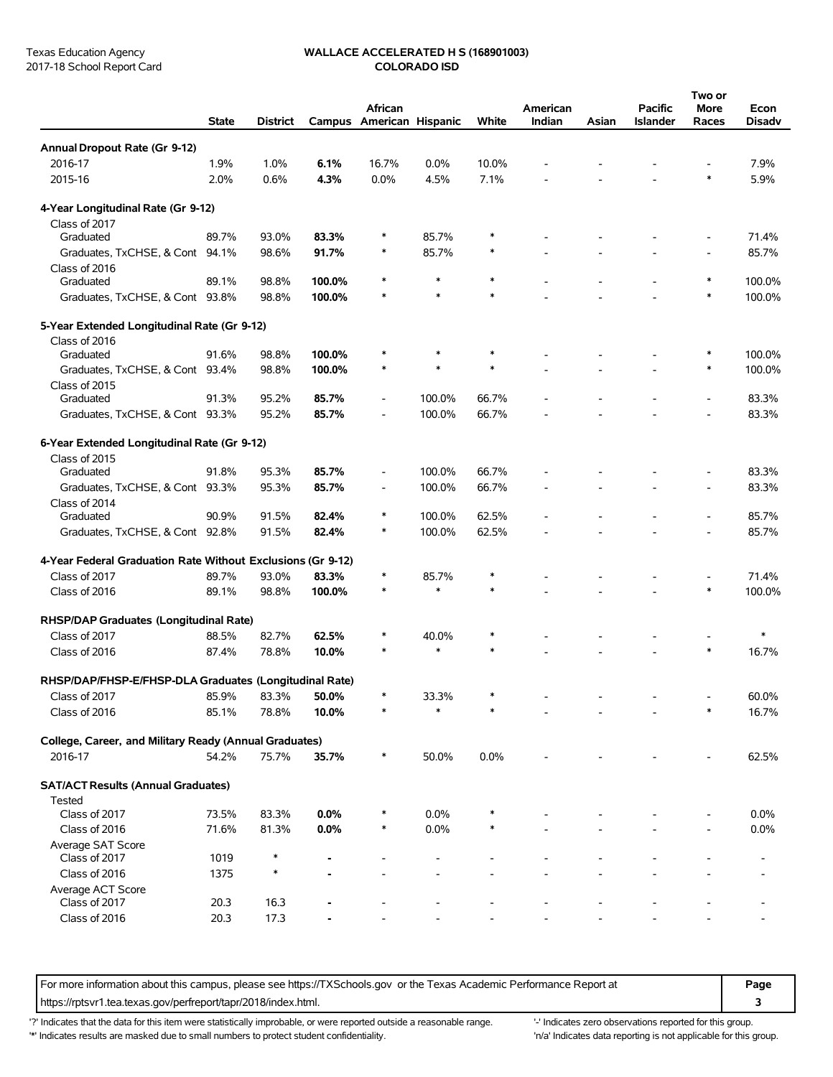# Texas Education Agency **WALLACE ACCELERATED H S (168901003)**<br>2017-18 School Report Card **COLORADO ISD**

|                                                                           |              |          |        |                                     |                 |        |                    |       |                            | Two or                   |                       |
|---------------------------------------------------------------------------|--------------|----------|--------|-------------------------------------|-----------------|--------|--------------------|-------|----------------------------|--------------------------|-----------------------|
|                                                                           | <b>State</b> | District |        | African<br>Campus American Hispanic |                 | White  | American<br>Indian | Asian | <b>Pacific</b><br>Islander | <b>More</b><br>Races     | Econ<br><b>Disadv</b> |
| Annual Dropout Rate (Gr 9-12)                                             |              |          |        |                                     |                 |        |                    |       |                            |                          |                       |
| 2016-17                                                                   | 1.9%         | 1.0%     | 6.1%   | 16.7%                               | $0.0\%$         | 10.0%  |                    |       |                            |                          | 7.9%                  |
| 2015-16                                                                   | 2.0%         | 0.6%     | 4.3%   | 0.0%                                | 4.5%            | 7.1%   |                    |       |                            | $\ast$                   | 5.9%                  |
|                                                                           |              |          |        |                                     |                 |        |                    |       |                            |                          |                       |
| 4-Year Longitudinal Rate (Gr 9-12)                                        |              |          |        |                                     |                 |        |                    |       |                            |                          |                       |
| Class of 2017                                                             |              |          |        |                                     |                 |        |                    |       |                            |                          |                       |
| Graduated                                                                 | 89.7%        | 93.0%    | 83.3%  | *                                   | 85.7%           | ∗      |                    |       |                            |                          | 71.4%                 |
| Graduates, TxCHSE, & Cont 94.1%                                           |              | 98.6%    | 91.7%  | $\ast$                              | 85.7%           | $\ast$ |                    |       |                            |                          | 85.7%                 |
| Class of 2016                                                             |              |          |        | $\ast$                              | $\ast$          | $\ast$ |                    |       |                            | $\ast$                   | 100.0%                |
| Graduated                                                                 | 89.1%        | 98.8%    | 100.0% | $\ast$                              | $\ast$          | $\ast$ |                    |       |                            | $\ast$                   |                       |
| Graduates, TxCHSE, & Cont 93.8%                                           |              | 98.8%    | 100.0% |                                     |                 |        |                    |       |                            |                          | 100.0%                |
| 5-Year Extended Longitudinal Rate (Gr 9-12)                               |              |          |        |                                     |                 |        |                    |       |                            |                          |                       |
| Class of 2016                                                             |              |          |        |                                     |                 |        |                    |       |                            |                          |                       |
| Graduated                                                                 | 91.6%        | 98.8%    | 100.0% | $\ast$                              | *               | $\ast$ |                    |       |                            | $\ast$                   | 100.0%                |
| Graduates, TxCHSE, & Cont 93.4%                                           |              | 98.8%    | 100.0% | $\ast$                              | *               | ∗      |                    |       |                            | $\ast$                   | 100.0%                |
| Class of 2015                                                             |              |          |        |                                     |                 |        |                    |       |                            |                          |                       |
| Graduated                                                                 | 91.3%        | 95.2%    | 85.7%  | $\overline{a}$                      | 100.0%          | 66.7%  |                    |       |                            |                          | 83.3%                 |
| Graduates, TxCHSE, & Cont 93.3%                                           |              | 95.2%    | 85.7%  | $\overline{\phantom{a}}$            | 100.0%          | 66.7%  |                    |       |                            |                          | 83.3%                 |
| 6-Year Extended Longitudinal Rate (Gr 9-12)                               |              |          |        |                                     |                 |        |                    |       |                            |                          |                       |
| Class of 2015                                                             |              |          |        |                                     |                 |        |                    |       |                            |                          |                       |
| Graduated                                                                 | 91.8%        | 95.3%    | 85.7%  | $\overline{\phantom{a}}$            | 100.0%          | 66.7%  |                    |       |                            |                          | 83.3%                 |
| Graduates, TxCHSE, & Cont 93.3%                                           |              | 95.3%    | 85.7%  | $\overline{\phantom{a}}$            | 100.0%          | 66.7%  |                    |       |                            |                          | 83.3%                 |
| Class of 2014                                                             |              |          |        |                                     |                 |        |                    |       |                            |                          |                       |
| Graduated                                                                 | 90.9%        | 91.5%    | 82.4%  | $\ast$                              | 100.0%          | 62.5%  |                    |       |                            | $\overline{\phantom{a}}$ | 85.7%                 |
| Graduates, TxCHSE, & Cont 92.8%                                           |              | 91.5%    | 82.4%  | $\ast$                              | 100.0%          | 62.5%  |                    |       |                            | $\overline{\phantom{a}}$ | 85.7%                 |
| 4-Year Federal Graduation Rate Without Exclusions (Gr 9-12)               |              |          |        |                                     |                 |        |                    |       |                            |                          |                       |
| Class of 2017                                                             | 89.7%        | 93.0%    | 83.3%  | $\ast$                              | 85.7%           | $\ast$ |                    |       |                            |                          | 71.4%                 |
| Class of 2016                                                             | 89.1%        | 98.8%    | 100.0% | $\ast$                              | $\ast$          | $\ast$ |                    |       |                            | $\ast$                   | 100.0%                |
|                                                                           |              |          |        |                                     |                 |        |                    |       |                            |                          |                       |
| RHSP/DAP Graduates (Longitudinal Rate)                                    |              |          |        |                                     |                 |        |                    |       |                            |                          |                       |
| Class of 2017                                                             | 88.5%        | 82.7%    | 62.5%  | *                                   | 40.0%           | *      |                    |       |                            |                          | $\ast$                |
| Class of 2016                                                             | 87.4%        | 78.8%    | 10.0%  | $\ast$                              | $\ast$          | $\ast$ |                    |       |                            | $\ast$                   | 16.7%                 |
|                                                                           |              |          |        |                                     |                 |        |                    |       |                            |                          |                       |
| RHSP/DAP/FHSP-E/FHSP-DLA Graduates (Longitudinal Rate)<br>Class of $2017$ |              |          | 50.0%  | $\ast$                              |                 | ∗      |                    |       |                            |                          |                       |
|                                                                           | 85.9%        | 83.3%    |        | *                                   | 33.3%<br>$\ast$ | $\ast$ |                    |       |                            | ∗                        | 60.0%                 |
| Class of 2016                                                             | 85.1%        | 78.8%    | 10.0%  |                                     |                 |        |                    |       |                            |                          | 16.7%                 |
| College, Career, and Military Ready (Annual Graduates)                    |              |          |        |                                     |                 |        |                    |       |                            |                          |                       |
| 2016-17                                                                   | 54.2%        | 75.7%    | 35.7%  | $\ast$                              | 50.0%           | 0.0%   |                    |       |                            |                          | 62.5%                 |
|                                                                           |              |          |        |                                     |                 |        |                    |       |                            |                          |                       |
| <b>SAT/ACT Results (Annual Graduates)</b>                                 |              |          |        |                                     |                 |        |                    |       |                            |                          |                       |
| <b>Tested</b>                                                             |              |          |        |                                     |                 |        |                    |       |                            |                          |                       |
| Class of 2017                                                             | 73.5%        | 83.3%    | 0.0%   |                                     | 0.0%            |        |                    |       |                            |                          | 0.0%                  |
| Class of 2016                                                             | 71.6%        | 81.3%    | 0.0%   | $\ast$                              | 0.0%            |        |                    |       |                            |                          | 0.0%                  |
| Average SAT Score<br>Class of 2017                                        |              |          |        |                                     |                 |        |                    |       |                            |                          |                       |
|                                                                           | 1019         |          |        |                                     |                 |        |                    |       |                            |                          |                       |
| Class of 2016<br>Average ACT Score                                        | 1375         |          |        |                                     |                 |        |                    |       |                            |                          |                       |
| Class of 2017                                                             | 20.3         | 16.3     |        |                                     |                 |        |                    |       |                            |                          |                       |
| Class of 2016                                                             | 20.3         | 17.3     |        |                                     |                 |        |                    |       |                            |                          |                       |
|                                                                           |              |          |        |                                     |                 |        |                    |       |                            |                          |                       |

For more information about this campus, please see https://TXSchools.gov or the Texas Academic Performance Report at **Page** https://rptsvr1.tea.texas.gov/perfreport/tapr/2018/index.html. **3**

'?' Indicates that the data for this item were statistically improbable, or were reported outside a reasonable range. "Indicates zero observations reported for this group.

'\*' Indicates results are masked due to small numbers to protect student confidentiality. 
"n/a' Indicates data reporting is not applicable for this group.